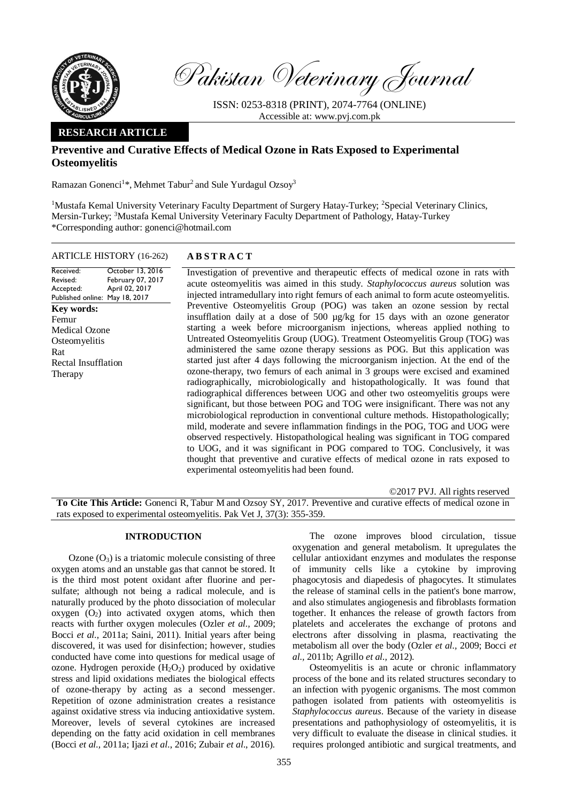

Pakistan Veterinary Journal

ISSN: 0253-8318 (PRINT), 2074-7764 (ONLINE) Accessible at: [www.pvj.com.pk](http://www.pvj.com.pk/)

# **RESEARCH ARTICLE**

# **Preventive and Curative Effects of Medical Ozone in Rats Exposed to Experimental Osteomyelitis**

Ramazan Gonenci<sup>1\*</sup>, Mehmet Tabur<sup>2</sup> and Sule Yurdagul Ozsoy<sup>3</sup>

<sup>1</sup>Mustafa Kemal University Veterinary Faculty Department of Surgery Hatay-Turkey; <sup>2</sup>Special Veterinary Clinics, Mersin-Turkey; <sup>3</sup>Mustafa Kemal University Veterinary Faculty Department of Pathology, Hatay-Turkey \*Corresponding author: gonenci@hotmail.com

## ARTICLE HISTORY (16-262) **A B S T R A C T**

Received: Revised: Accepted: Published online: May 18, 2017 October 13, 2016 February 07, 2017 April 02, 2017 **Key words:**  Femur Medical Ozone **Osteomyelitis** Rat Rectal Insufflation Therapy

Investigation of preventive and therapeutic effects of medical ozone in rats with acute osteomyelitis was aimed in this study. *Staphylococcus aureus* solution was injected intramedullary into right femurs of each animal to form acute osteomyelitis. Preventive Osteomyelitis Group (POG) was taken an ozone session by rectal insufflation daily at a dose of 500 µg/kg for 15 days with an ozone generator starting a week before microorganism injections, whereas applied nothing to Untreated Osteomyelitis Group (UOG). Treatment Osteomyelitis Group (TOG) was administered the same ozone therapy sessions as POG. But this application was started just after 4 days following the microorganism injection. At the end of the ozone-therapy, two femurs of each animal in 3 groups were excised and examined radiographically, microbiologically and histopathologically. It was found that radiographical differences between UOG and other two osteomyelitis groups were significant, but those between POG and TOG were insignificant. There was not any microbiological reproduction in conventional culture methods. Histopathologically; mild, moderate and severe inflammation findings in the POG, TOG and UOG were observed respectively. Histopathological healing was significant in TOG compared to UOG, and it was significant in POG compared to TOG. Conclusively, it was thought that preventive and curative effects of medical ozone in rats exposed to experimental osteomyelitis had been found.

©2017 PVJ. All rights reserved

**To Cite This Article:** Gonenci R, Tabur M and Ozsoy SY, 2017. Preventive and curative effects of medical ozone in rats exposed to experimental osteomyelitis. Pak Vet J, 37(3): 355-359.

## **INTRODUCTION**

Ozone  $(O_3)$  is a triatomic molecule consisting of three oxygen atoms and an unstable gas that cannot be stored. It is the third most potent oxidant after fluorine and persulfate; although not being a radical molecule, and is naturally produced by the photo dissociation of molecular oxygen  $(O_2)$  into activated oxygen atoms, which then reacts with further oxygen molecules (Ozler *et al.,* 2009; Bocci *et al.,* 2011a; Saini, 2011). Initial years after being discovered, it was used for disinfection; however, studies conducted have come into questions for medical usage of ozone. Hydrogen peroxide  $(H_2O_2)$  produced by oxidative stress and lipid oxidations mediates the biological effects of ozone-therapy by acting as a second messenger. Repetition of ozone administration creates a resistance against oxidative stress via inducing antioxidative system. Moreover, levels of several cytokines are increased depending on the fatty acid oxidation in cell membranes (Bocci *et al.,* 2011a; Ijazi *et al*., 2016; Zubair *et al*., 2016).

The ozone improves blood circulation, tissue oxygenation and general metabolism. It upregulates the cellular antioxidant enzymes and modulates the response of immunity cells like a cytokine by improving phagocytosis and diapedesis of phagocytes. It stimulates the release of staminal cells in the patient's bone marrow, and also stimulates angiogenesis and fibroblasts formation together. It enhances the release of growth factors from platelets and accelerates the exchange of protons and electrons after dissolving in plasma, reactivating the metabolism all over the body (Ozler *et al.,* 2009; Bocci *et al.,* 2011b; Agrillo *et al.,* 2012).

Osteomyelitis is an acute or chronic inflammatory process of the bone and its related structures secondary to an infection with pyogenic organisms. The most common pathogen isolated from patients with osteomyelitis is *Staphylococcus aureus*. Because of the variety in disease presentations and pathophysiology of osteomyelitis, it is very difficult to evaluate the disease in clinical studies. it requires prolonged antibiotic and surgical treatments, and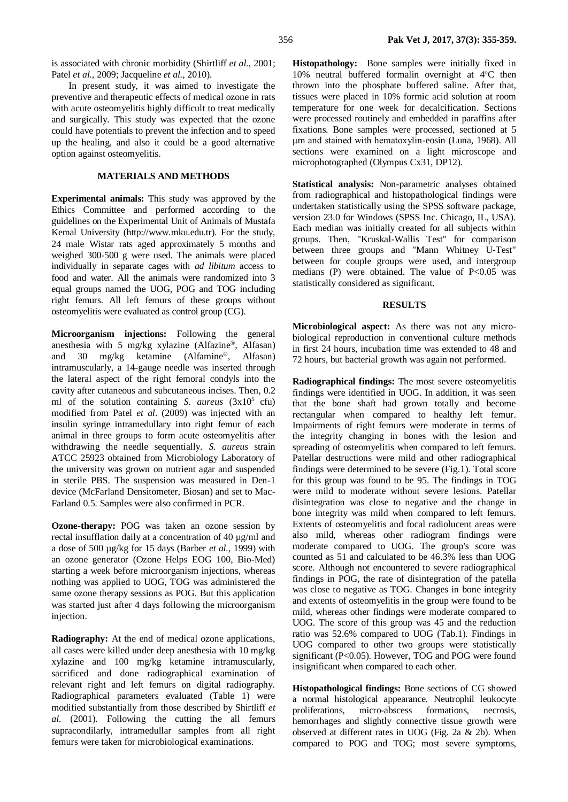is associated with chronic morbidity (Shirtliff *et al.,* 2001; Patel *et al.,* 2009; Jacqueline *et al.,* 2010).

In present study, it was aimed to investigate the preventive and therapeutic effects of medical ozone in rats with acute osteomyelitis highly difficult to treat medically and surgically. This study was expected that the ozone could have potentials to prevent the infection and to speed up the healing, and also it could be a good alternative option against osteomyelitis.

# **MATERIALS AND METHODS**

**Experimental animals:** This study was approved by the Ethics Committee and performed according to the guidelines on the Experimental Unit of Animals of Mustafa Kemal University (http://www.mku.edu.tr). For the study, 24 male Wistar rats aged approximately 5 months and weighed 300-500 g were used. The animals were placed individually in separate cages with *ad libitum* access to food and water. All the animals were randomized into 3 equal groups named the UOG, POG and TOG including right femurs. All left femurs of these groups without osteomyelitis were evaluated as control group (CG).

**Microorganism injections:** Following the general anesthesia with 5 mg/kg xylazine (Alfazine®, Alfasan) and 30 mg/kg ketamine (Alfamine®, Alfasan) intramuscularly, a 14-gauge needle was inserted through the lateral aspect of the right femoral condyls into the cavity after cutaneous and subcutaneous incises. Then, 0.2 ml of the solution containing *S. aureus*  $(3x10^5 \text{ cftu})$ modified from Patel *et al*. (2009) was injected with an insulin syringe intramedullary into right femur of each animal in three groups to form acute osteomyelitis after withdrawing the needle sequentially. *S. aureus* strain ATCC 25923 obtained from Microbiology Laboratory of the university was grown on nutrient agar and suspended in sterile PBS. The suspension was measured in Den-1 device (McFarland Densitometer, Biosan) and set to Mac-Farland 0.5. Samples were also confirmed in PCR.

**Ozone-therapy:** POG was taken an ozone session by rectal insufflation daily at a concentration of 40 µg/ml and a dose of 500 µg/kg for 15 days (Barber *et al.,* 1999) with an ozone generator (Ozone Helps EOG 100, Bio-Med) starting a week before microorganism injections, whereas nothing was applied to UOG, TOG was administered the same ozone therapy sessions as POG. But this application was started just after 4 days following the microorganism injection.

**Radiography:** At the end of medical ozone applications, all cases were killed under deep anesthesia with 10 mg/kg xylazine and 100 mg/kg ketamine intramuscularly, sacrificed and done radiographical examination of relevant right and left femurs on digital radiography. Radiographical parameters evaluated (Table 1) were modified substantially from those described by Shirtliff *et al.* (2001). Following the cutting the all femurs supracondilarly, intramedullar samples from all right femurs were taken for microbiological examinations.

**Histopathology:** Bone samples were initially fixed in 10% neutral buffered formalin overnight at 4°C then thrown into the phosphate buffered saline. After that, tissues were placed in 10% formic acid solution at room temperature for one week for decalcification. Sections were processed routinely and embedded in paraffins after fixations. Bone samples were processed, sectioned at 5 μm and stained with hematoxylin-eosin (Luna, 1968). All sections were examined on a light microscope and microphotographed (Olympus Cx31, DP12).

**Statistical analysis:** Non-parametric analyses obtained from radiographical and histopathological findings were undertaken statistically using the SPSS software package, version 23.0 for Windows (SPSS Inc. Chicago, IL, USA). Each median was initially created for all subjects within groups. Then, "Kruskal-Wallis Test" for comparison between three groups and "Mann Whitney U-Test" between for couple groups were used, and intergroup medians (P) were obtained. The value of P<0.05 was statistically considered as significant.

#### **RESULTS**

**Microbiological aspect:** As there was not any microbiological reproduction in conventional culture methods in first 24 hours, incubation time was extended to 48 and 72 hours, but bacterial growth was again not performed.

**Radiographical findings:** The most severe osteomyelitis findings were identified in UOG. In addition, it was seen that the bone shaft had grown totally and become rectangular when compared to healthy left femur. Impairments of right femurs were moderate in terms of the integrity changing in bones with the lesion and spreading of osteomyelitis when compared to left femurs. Patellar destructions were mild and other radiographical findings were determined to be severe (Fig.1). Total score for this group was found to be 95. The findings in TOG were mild to moderate without severe lesions. Patellar disintegration was close to negative and the change in bone integrity was mild when compared to left femurs. Extents of osteomyelitis and focal radiolucent areas were also mild, whereas other radiogram findings were moderate compared to UOG. The group's score was counted as 51 and calculated to be 46.3% less than UOG score. Although not encountered to severe radiographical findings in POG, the rate of disintegration of the patella was close to negative as TOG. Changes in bone integrity and extents of osteomyelitis in the group were found to be mild, whereas other findings were moderate compared to UOG. The score of this group was 45 and the reduction ratio was 52.6% compared to UOG (Tab.1). Findings in UOG compared to other two groups were statistically significant (P<0.05). However, TOG and POG were found insignificant when compared to each other.

**Histopathological findings:** Bone sections of CG showed a normal histological appearance. Neutrophil leukocyte proliferations, micro-abscess formations, necrosis, hemorrhages and slightly connective tissue growth were observed at different rates in UOG (Fig. 2a & 2b). When compared to POG and TOG; most severe symptoms,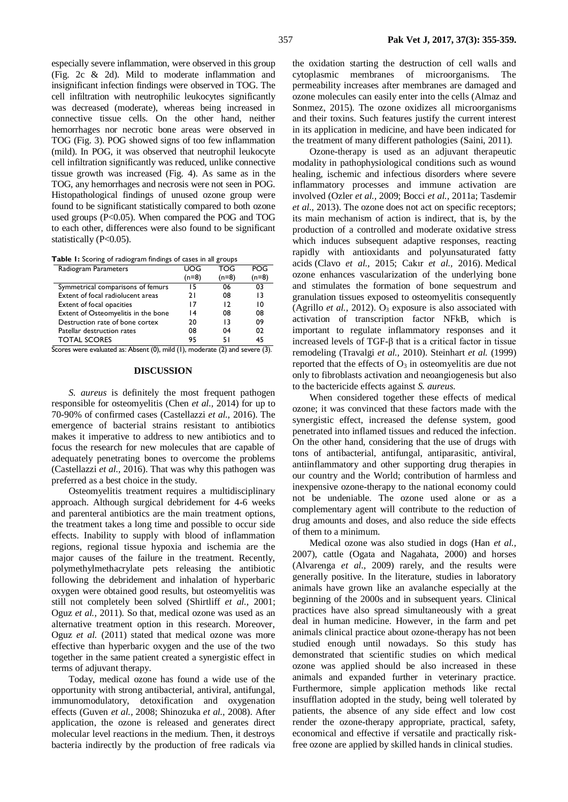especially severe inflammation, were observed in this group (Fig. 2c & 2d). Mild to moderate inflammation and insignificant infection findings were observed in TOG. The cell infiltration with neutrophilic leukocytes significantly was decreased (moderate), whereas being increased in connective tissue cells. On the other hand, neither hemorrhages nor necrotic bone areas were observed in TOG (Fig. 3). POG showed signs of too few inflammation (mild). In POG, it was observed that neutrophil leukocyte cell infiltration significantly was reduced, unlike connective tissue growth was increased (Fig. 4). As same as in the TOG, any hemorrhages and necrosis were not seen in POG. Histopathological findings of unused ozone group were found to be significant statistically compared to both ozone used groups (P<0.05). When compared the POG and TOG to each other, differences were also found to be significant statistically (P<0.05).

**Table 1:** Scoring of radiogram findings of cases in all groups

| Radiogram Parameters                | UOG     | TOG     | POG     |
|-------------------------------------|---------|---------|---------|
|                                     | $(n=8)$ | $(n=8)$ | $(n=8)$ |
| Symmetrical comparisons of femurs   | 15      | 06      | 03      |
| Extent of focal radiolucent areas   | 21      | 08      | 13      |
| Extent of focal opacities           | 17      | 12      | 10      |
| Extent of Osteomyelitis in the bone | ۱4      | 08      | 08      |
| Destruction rate of bone cortex     | 20      | 13      | 09      |
| Patellar destruction rates          | 08      | 04      | 02      |
| <b>TOTAL SCORES</b>                 | 95      | 51      | 45      |

Scores were evaluated as: Absent (0), mild (1), moderate (2) and severe (3).

#### **DISCUSSION**

*S. aureus* is definitely the most frequent pathogen responsible for osteomyelitis (Chen *et al.,* 2014) for up to 70-90% of confirmed cases (Castellazzi *et al.,* 2016). The emergence of bacterial strains resistant to antibiotics makes it imperative to address to new antibiotics and to focus the research for new molecules that are capable of adequately penetrating bones to overcome the problems (Castellazzi *et al.,* 2016). That was why this pathogen was preferred as a best choice in the study.

Osteomyelitis treatment requires a multidisciplinary approach. Although surgical debridement for 4-6 weeks and parenteral antibiotics are the main treatment options, the treatment takes a long time and possible to occur side effects. Inability to supply with blood of inflammation regions, regional tissue hypoxia and ischemia are the major causes of the failure in the treatment. Recently, polymethylmethacrylate pets releasing the antibiotic following the debridement and inhalation of hyperbaric oxygen were obtained good results, but osteomyelitis was still not completely been solved (Shirtliff *et al.,* 2001; Oguz *et al.,* 2011). So that, medical ozone was used as an alternative treatment option in this research. Moreover, Oguz *et al.* (2011) stated that medical ozone was more effective than hyperbaric oxygen and the use of the two together in the same patient created a synergistic effect in terms of adjuvant therapy.

Today, medical ozone has found a wide use of the opportunity with strong antibacterial, antiviral, antifungal, immunomodulatory, detoxification and oxygenation effects (Guven *et al.,* 2008; Shinozuka *et al.,* 2008). After application, the ozone is released and generates direct molecular level reactions in the medium. Then, it destroys bacteria indirectly by the production of free radicals via

the oxidation starting the destruction of cell walls and cytoplasmic membranes of microorganisms. The permeability increases after membranes are damaged and ozone molecules can easily enter into the cells (Almaz and Sonmez, 2015). The ozone oxidizes all microorganisms and their toxins. Such features justify the current interest in its application in medicine, and have been indicated for the treatment of many different pathologies (Saini, 2011).

Ozone-therapy is used as an adjuvant therapeutic modality in pathophysiological conditions such as wound healing, ischemic and infectious disorders where severe inflammatory processes and immune activation are involved (Ozler *et al.,* 2009; Bocci *et al.,* 2011a; Tasdemir *et al.,* 2013). The ozone does not act on specific receptors; its main mechanism of action is indirect, that is, by the production of a controlled and moderate oxidative stress which induces subsequent adaptive responses, reacting rapidly with antioxidants and polyunsaturated fatty acids (Clavo *et al.,* 2015; Cakır *et al.,* 2016). Medical ozone enhances vascularization of the underlying bone and stimulates the formation of bone sequestrum and granulation tissues exposed to osteomyelitis consequently (Agrillo *et al.*, 2012). O<sub>3</sub> exposure is also associated with activation of transcription factor NFkB, which is important to regulate inflammatory responses and it increased levels of TGF-β that is a critical factor in tissue remodeling (Travalgi *et al.,* 2010). Steinhart *et al.* (1999) reported that the effects of  $O_3$  in osteomyelitis are due not only to fibroblasts activation and neoangiogenesis but also to the bactericide effects against *S. aureus.*

When considered together these effects of medical ozone; it was convinced that these factors made with the synergistic effect, increased the defense system, good penetrated into inflamed tissues and reduced the infection. On the other hand, considering that the use of drugs with tons of antibacterial, antifungal, antiparasitic, antiviral, antiinflammatory and other supporting drug therapies in our country and the World; contribution of harmless and inexpensive ozone-therapy to the national economy could not be undeniable. The ozone used alone or as a complementary agent will contribute to the reduction of drug amounts and doses, and also reduce the side effects of them to a minimum.

Medical ozone was also studied in dogs (Han *et al.,* 2007), cattle (Ogata and Nagahata, 2000) and horses (Alvarenga *et al.,* 2009) rarely, and the results were generally positive. In the literature, studies in laboratory animals have grown like an avalanche especially at the beginning of the 2000s and in subsequent years. Clinical practices have also spread simultaneously with a great deal in human medicine. However, in the farm and pet animals clinical practice about ozone-therapy has not been studied enough until nowadays. So this study has demonstrated that scientific studies on which medical ozone was applied should be also increased in these animals and expanded further in veterinary practice. Furthermore, simple application methods like rectal insufflation adopted in the study, being well tolerated by patients, the absence of any side effect and low cost render the ozone-therapy appropriate, practical, safety, economical and effective if versatile and practically riskfree ozone are applied by skilled hands in clinical studies.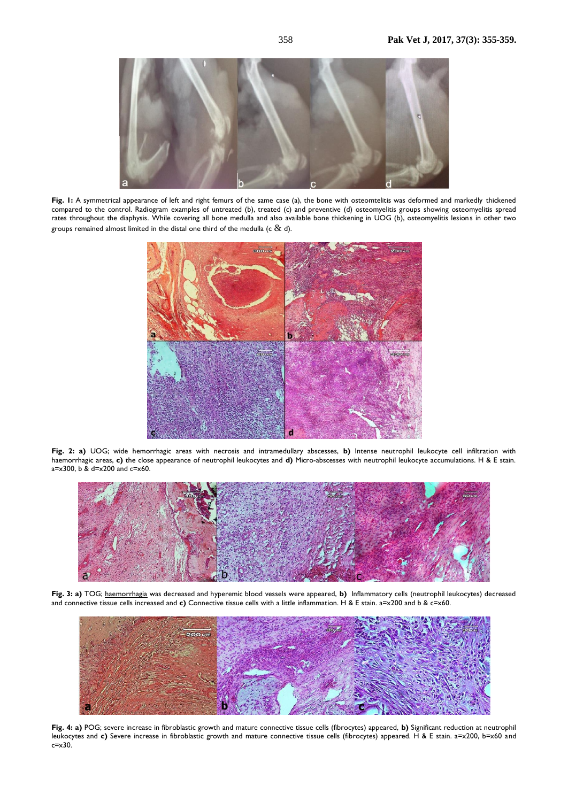

**Fig. 1:** A symmetrical appearance of left and right femurs of the same case (a), the bone with osteomtelitis was deformed and markedly thickened compared to the control. Radiogram examples of untreated (b), treated (c) and preventive (d) osteomyelitis groups showing osteomyelitis spread rates throughout the diaphysis. While covering all bone medulla and also available bone thickening in UOG (b), osteomyelitis lesions in other two groups remained almost limited in the distal one third of the medulla (c  $\&$  d).



**Fig. 2: a)** UOG; wide [hemorrhagic](http://tureng.com/tr/turkce-ingilizce/haemorrhagia) areas with necrosis and intramedullary abscesses, **b)** Intense neutrophil leukocyte cell infiltration with [haemorrhagic](http://tureng.com/tr/turkce-ingilizce/haemorrhagia) areas, **c)** the close appearance of neutrophil leukocytes and **d)** Micro-abscesses with neutrophil leukocyte accumulations. H & E stain.  $a=x300$ , b &  $d=x200$  and  $c=x60$ .



**Fig. 3: a)** TOG; haemorrhagia was decreased and hyperemic blood vessels were appeared, **b)** Inflammatory cells (neutrophil leukocytes) decreased and connective tissue cells increased and **c)** Connective tissue cells with a little inflammation. H & E stain. a=x200 and b & c=x60.



**Fig. 4: a)** POG; severe increase in fibroblastic growth and mature connective tissue cells (fibrocytes) appeared, **b)** Significant reduction at neutrophil leukocytes and c) Severe increase in fibroblastic growth and mature connective tissue cells (fibrocytes) appeared. H & E stain. a=x200, b=x60 and  $c = x30$ .